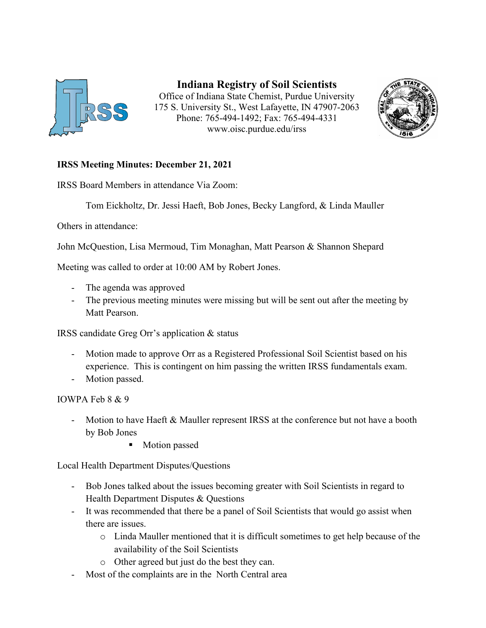

**Indiana Registry of Soil Scientists** Office of Indiana State Chemist, Purdue University 175 S. University St., West Lafayette, IN 47907-2063 Phone: 765-494-1492; Fax: 765-494-4331 www.oisc.purdue.edu/irss



## **IRSS Meeting Minutes: December 21, 2021**

IRSS Board Members in attendance Via Zoom:

Tom Eickholtz, Dr. Jessi Haeft, Bob Jones, Becky Langford, & Linda Mauller

Others in attendance:

John McQuestion, Lisa Mermoud, Tim Monaghan, Matt Pearson & Shannon Shepard

Meeting was called to order at 10:00 AM by Robert Jones.

- The agenda was approved
- The previous meeting minutes were missing but will be sent out after the meeting by Matt Pearson.

IRSS candidate Greg Orr's application & status

- Motion made to approve Orr as a Registered Professional Soil Scientist based on his experience. This is contingent on him passing the written IRSS fundamentals exam.
- Motion passed.

IOWPA Feb 8 & 9

- Motion to have Haeft & Mauller represent IRSS at the conference but not have a booth by Bob Jones
	- **Motion passed**

Local Health Department Disputes/Questions

- Bob Jones talked about the issues becoming greater with Soil Scientists in regard to Health Department Disputes & Questions
- It was recommended that there be a panel of Soil Scientists that would go assist when there are issues.
	- o Linda Mauller mentioned that it is difficult sometimes to get help because of the availability of the Soil Scientists
	- o Other agreed but just do the best they can.
- Most of the complaints are in the North Central area